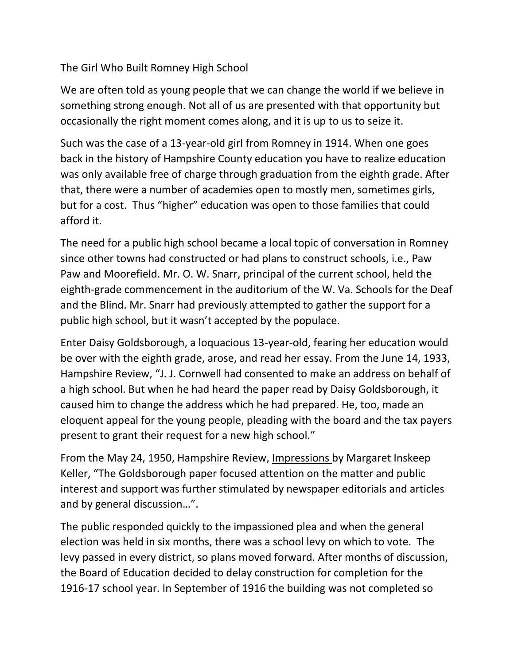## The Girl Who Built Romney High School

We are often told as young people that we can change the world if we believe in something strong enough. Not all of us are presented with that opportunity but occasionally the right moment comes along, and it is up to us to seize it.

Such was the case of a 13-year-old girl from Romney in 1914. When one goes back in the history of Hampshire County education you have to realize education was only available free of charge through graduation from the eighth grade. After that, there were a number of academies open to mostly men, sometimes girls, but for a cost. Thus "higher" education was open to those families that could afford it.

The need for a public high school became a local topic of conversation in Romney since other towns had constructed or had plans to construct schools, i.e., Paw Paw and Moorefield. Mr. O. W. Snarr, principal of the current school, held the eighth-grade commencement in the auditorium of the W. Va. Schools for the Deaf and the Blind. Mr. Snarr had previously attempted to gather the support for a public high school, but it wasn't accepted by the populace.

Enter Daisy Goldsborough, a loquacious 13-year-old, fearing her education would be over with the eighth grade, arose, and read her essay. From the June 14, 1933, Hampshire Review, "J. J. Cornwell had consented to make an address on behalf of a high school. But when he had heard the paper read by Daisy Goldsborough, it caused him to change the address which he had prepared. He, too, made an eloquent appeal for the young people, pleading with the board and the tax payers present to grant their request for a new high school."

From the May 24, 1950, Hampshire Review, Impressions by Margaret Inskeep Keller, "The Goldsborough paper focused attention on the matter and public interest and support was further stimulated by newspaper editorials and articles and by general discussion…".

The public responded quickly to the impassioned plea and when the general election was held in six months, there was a school levy on which to vote. The levy passed in every district, so plans moved forward. After months of discussion, the Board of Education decided to delay construction for completion for the 1916-17 school year. In September of 1916 the building was not completed so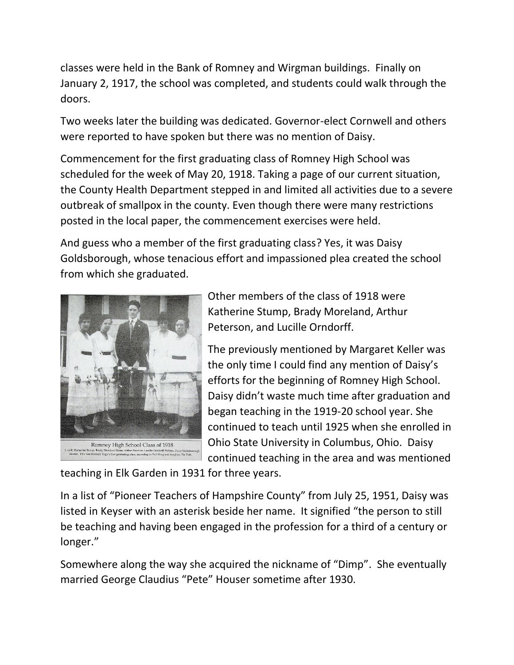classes were held in the Bank of Romney and Wirgman buildings. Finally on January 2, 1917, the school was completed, and students could walk through the doors.

Two weeks later the building was dedicated. Governor-elect Cornwell and others were reported to have spoken but there was no mention of Daisy.

Commencement for the first graduating class of Romney High School was scheduled for the week of May 20, 1918. Taking a page of our current situation, the County Health Department stepped in and limited all activities due to a severe outbreak of smallpox in the county. Even though there were many restrictions posted in the local paper, the commencement exercises were held.

And guess who a member of the first graduating class? Yes, it was Daisy Goldsborough, whose tenacious effort and impassioned plea created the school from which she graduated.



Other members of the class of 1918 were Katherine Stump, Brady Moreland, Arthur Peterson, and Lucille Orndorff.

The previously mentioned by Margaret Keller was the only time I could find any mention of Daisy's efforts for the beginning of Romney High School. Daisy didn't waste much time after graduation and began teaching in the 1919-20 school year. She continued to teach until 1925 when she enrolled in Ohio State University in Columbus, Ohio. Daisy continued teaching in the area and was mentioned

teaching in Elk Garden in 1931 for three years.

In a list of "Pioneer Teachers of Hampshire County" from July 25, 1951, Daisy was listed in Keyser with an asterisk beside her name. It signified "the person to still be teaching and having been engaged in the profession for a third of a century or longer."

Somewhere along the way she acquired the nickname of "Dimp". She eventually married George Claudius "Pete" Houser sometime after 1930.